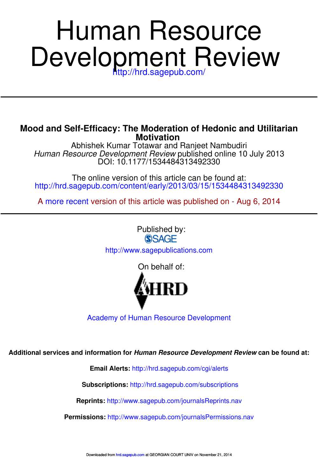# Development Review Human Resource

**Motivation Mood and Self-Efficacy: The Moderation of Hedonic and Utilitarian**

DOI: 10.1177/1534484313492330 Human Resource Development Review published online 10 July 2013 Abhishek Kumar Totawar and Ranjeet Nambudiri

http://hrd.sagepub.com/content/early/2013/03/15/1534484313492330 The online version of this article can be found at:

A more recent version of this article was published on - Aug 6, 2014

Published by:<br>
SAGE http://www.sagepublications.com

On behalf of:



Academy of Human Resource Development

**Additional services and information for Human Resource Development Review can be found at:**

**Email Alerts:** http://hrd.sagepub.com/cgi/alerts

**Subscriptions:** http://hrd.sagepub.com/subscriptions

**Reprints:** http://www.sagepub.com/journalsReprints.nav

**Permissions:** http://www.sagepub.com/journalsPermissions.nav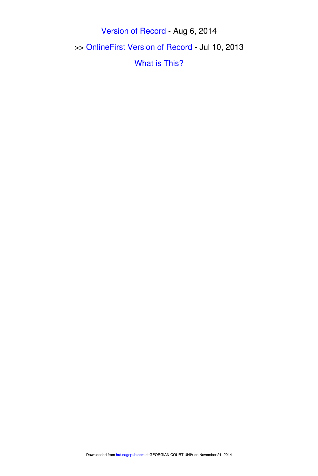What is This? >> OnlineFirst Version of Record - Jul 10, 2013 Version of Record - Aug 6, 2014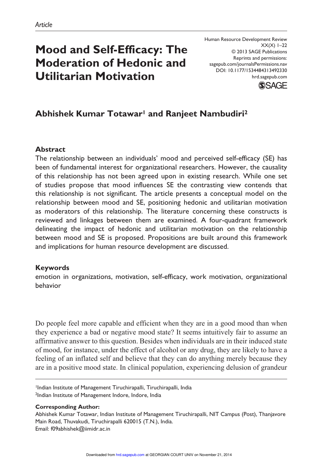## **Mood and Self-Efficacy: The Moderation of Hedonic and Utilitarian Motivation**

Human Resource Development Review  $XX(X)$  1–22 © 2013 SAGE Publications Reprints and permissions: sagepub.com/journalsPermissions.nav DOI: 10.1177/1534484313492330 hrd.sagepub.com



## **Abhishek Kumar Totawar<sup>1</sup> and Ranjeet Nambudiri<sup>2</sup>**

### **Abstract**

The relationship between an individuals' mood and perceived self-efficacy (SE) has been of fundamental interest for organizational researchers. However, the causality of this relationship has not been agreed upon in existing research. While one set of studies propose that mood influences SE the contrasting view contends that this relationship is not significant. The article presents a conceptual model on the relationship between mood and SE, positioning hedonic and utilitarian motivation as moderators of this relationship. The literature concerning these constructs is reviewed and linkages between them are examined. A four-quadrant framework delineating the impact of hedonic and utilitarian motivation on the relationship between mood and SE is proposed. Propositions are built around this framework and implications for human resource development are discussed.

## **Keywords**

emotion in organizations, motivation, self-efficacy, work motivation, organizational behavior

Do people feel more capable and efficient when they are in a good mood than when they experience a bad or negative mood state? It seems intuitively fair to assume an affirmative answer to this question. Besides when individuals are in their induced state of mood, for instance, under the effect of alcohol or any drug, they are likely to have a feeling of an inflated self and believe that they can do anything merely because they are in a positive mood state. In clinical population, experiencing delusion of grandeur

1 Indian Institute of Management Tiruchirapalli, Tiruchirapalli, India 2 Indian Institute of Management Indore, Indore, India

**Corresponding Author:**

Abhishek Kumar Totawar, Indian Institute of Management Tiruchirapalli, NIT Campus (Post), Thanjavore Main Road, Thuvakudi, Tiruchirapalli 620015 (T.N.), India. Email: f09abhishek@iimidr.ac.in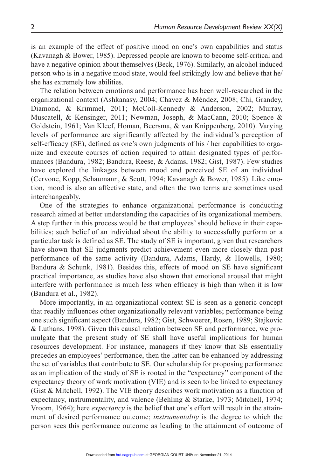is an example of the effect of positive mood on one's own capabilities and status (Kavanagh & Bower, 1985). Depressed people are known to become self-critical and have a negative opinion about themselves (Beck, 1976). Similarly, an alcohol induced person who is in a negative mood state, would feel strikingly low and believe that he/ she has extremely low abilities.

The relation between emotions and performance has been well-researched in the organizational context (Ashkanasy, 2004; Chavez & Méndez, 2008; Chi, Grandey, Diamond, & Krimmel, 2011; McColl-Kennedy & Anderson, 2002; Murray, Muscatell, & Kensinger, 2011; Newman, Joseph, & MacCann, 2010; Spence & Goldstein, 1961; Van Kleef, Homan, Beersma, & van Knippenberg, 2010). Varying levels of performance are significantly affected by the individual's perception of self-efficacy (SE), defined as one's own judgments of his / her capabilities to organize and execute courses of action required to attain designated types of performances (Bandura, 1982; Bandura, Reese, & Adams, 1982; Gist, 1987). Few studies have explored the linkages between mood and perceived SE of an individual (Cervone, Kopp, Schaumann, & Scott, 1994; Kavanagh & Bower, 1985). Like emotion, mood is also an affective state, and often the two terms are sometimes used interchangeably.

One of the strategies to enhance organizational performance is conducting research aimed at better understanding the capacities of its organizational members. A step further in this process would be that employees' should believe in their capabilities; such belief of an individual about the ability to successfully perform on a particular task is defined as SE. The study of SE is important, given that researchers have shown that SE judgments predict achievement even more closely than past performance of the same activity (Bandura, Adams, Hardy, & Howells, 1980; Bandura & Schunk, 1981). Besides this, effects of mood on SE have significant practical importance, as studies have also shown that emotional arousal that might interfere with performance is much less when efficacy is high than when it is low (Bandura et al., 1982).

More importantly, in an organizational context SE is seen as a generic concept that readily influences other organizationally relevant variables; performance being one such significant aspect (Bandura, 1982; Gist, Schwoerer, Rosen, 1989; Stajkovic & Luthans, 1998). Given this causal relation between SE and performance, we promulgate that the present study of SE shall have useful implications for human resources development. For instance, managers if they know that SE essentially precedes an employees' performance, then the latter can be enhanced by addressing the set of variables that contribute to SE. Our scholarship for proposing performance as an implication of the study of SE is rooted in the "expectancy" component of the expectancy theory of work motivation (VIE) and is seen to be linked to expectancy (Gist & Mitchell, 1992). The VIE theory describes work motivation as a function of expectancy, instrumentality, and valence (Behling & Starke, 1973; Mitchell, 1974; Vroom, 1964); here *expectancy* is the belief that one's effort will result in the attainment of desired performance outcome; *instrumentality* is the degree to which the person sees this performance outcome as leading to the attainment of outcome of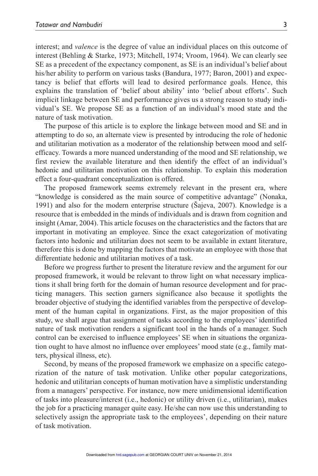interest; and *valence* is the degree of value an individual places on this outcome of interest (Behling & Starke, 1973; Mitchell, 1974; Vroom, 1964). We can clearly see SE as a precedent of the expectancy component, as SE is an individual's belief about his/her ability to perform on various tasks (Bandura, 1977; Baron, 2001) and expectancy is belief that efforts will lead to desired performance goals. Hence, this explains the translation of 'belief about ability' into 'belief about efforts'. Such implicit linkage between SE and performance gives us a strong reason to study individual's SE. We propose SE as a function of an individual's mood state and the nature of task motivation.

The purpose of this article is to explore the linkage between mood and SE and in attempting to do so, an alternate view is presented by introducing the role of hedonic and utilitarian motivation as a moderator of the relationship between mood and selfefficacy. Towards a more nuanced understanding of the mood and SE relationship, we first review the available literature and then identify the effect of an individual's hedonic and utilitarian motivation on this relationship. To explain this moderation effect a four-quadrant conceptualization is offered.

The proposed framework seems extremely relevant in the present era, where "knowledge is considered as the main source of competitive advantage" (Nonaka, 1991) and also for the modern enterprise structure (Šajeva, 2007). Knowledge is a resource that is embedded in the minds of individuals and is drawn from cognition and insight (Amar, 2004). This article focuses on the characteristics and the factors that are important in motivating an employee. Since the exact categorization of motivating factors into hedonic and utilitarian does not seem to be available in extant literature, therefore this is done by mapping the factors that motivate an employee with those that differentiate hedonic and utilitarian motives of a task.

Before we progress further to present the literature review and the argument for our proposed framework, it would be relevant to throw light on what necessary implications it shall bring forth for the domain of human resource development and for practicing managers. This section garners significance also because it spotlights the broader objective of studying the identified variables from the perspective of development of the human capital in organizations. First, as the major proposition of this study, we shall argue that assignment of tasks according to the employees' identified nature of task motivation renders a significant tool in the hands of a manager. Such control can be exercised to influence employees' SE when in situations the organization ought to have almost no influence over employees' mood state (e.g., family matters, physical illness, etc).

Second, by means of the proposed framework we emphasize on a specific categorization of the nature of task motivation. Unlike other popular categorizations, hedonic and utilitarian concepts of human motivation have a simplistic understanding from a managers' perspective. For instance, now mere unidimensional identification of tasks into pleasure/interest (i.e., hedonic) or utility driven (i.e., utilitarian), makes the job for a practicing manager quite easy. He/she can now use this understanding to selectively assign the appropriate task to the employees', depending on their nature of task motivation.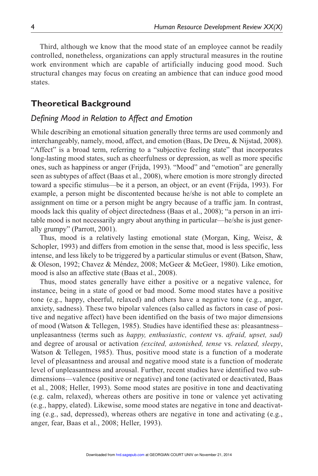Third, although we know that the mood state of an employee cannot be readily controlled, nonetheless, organizations can apply structural measures in the routine work environment which are capable of artificially inducing good mood. Such structural changes may focus on creating an ambience that can induce good mood states.

## **Theoretical Background**

## *Defining Mood in Relation to Affect and Emotion*

While describing an emotional situation generally three terms are used commonly and interchangeably, namely, mood, affect, and emotion (Baas, De Dreu, & Nijstad, 2008). "Affect" is a broad term, referring to a "subjective feeling state" that incorporates long-lasting mood states, such as cheerfulness or depression, as well as more specific ones, such as happiness or anger (Frijda, 1993). "Mood" and "emotion" are generally seen as subtypes of affect (Baas et al., 2008), where emotion is more strongly directed toward a specific stimulus—be it a person, an object, or an event (Frijda, 1993). For example, a person might be discontented because he/she is not able to complete an assignment on time or a person might be angry because of a traffic jam. In contrast, moods lack this quality of object directedness (Baas et al., 2008); "a person in an irritable mood is not necessarily angry about anything in particular—he/she is just generally grumpy" (Parrott, 2001).

Thus, mood is a relatively lasting emotional state (Morgan, King, Weisz, & Schopler, 1993) and differs from emotion in the sense that, mood is less specific, less intense, and less likely to be triggered by a particular stimulus or event (Batson, Shaw, & Oleson, 1992; Chavez & Méndez, 2008; McGeer & McGeer, 1980). Like emotion, mood is also an affective state (Baas et al., 2008).

Thus, mood states generally have either a positive or a negative valence, for instance, being in a state of good or bad mood. Some mood states have a positive tone (e.g., happy, cheerful, relaxed) and others have a negative tone (e.g., anger, anxiety, sadness). These two bipolar valences (also called as factors in case of positive and negative affect) have been identified on the basis of two major dimensions of mood (Watson & Tellegen, 1985). Studies have identified these as: pleasantness– unpleasantness (terms such as *happy, enthusiastic, content* vs. *afraid, upset, sad)* and degree of arousal or activation *(excited, astonished, tense* vs. *relaxed, sleepy*, Watson & Tellegen, 1985). Thus, positive mood state is a function of a moderate level of pleasantness and arousal and negative mood state is a function of moderate level of unpleasantness and arousal. Further, recent studies have identified two subdimensions—valence (positive or negative) and tone (activated or deactivated, Baas et al., 2008; Heller, 1993). Some mood states are positive in tone and deactivating (e.g. calm, relaxed), whereas others are positive in tone or valence yet activating (e.g., happy, elated). Likewise, some mood states are negative in tone and deactivating (e.g., sad, depressed), whereas others are negative in tone and activating (e.g., anger, fear, Baas et al., 2008; Heller, 1993).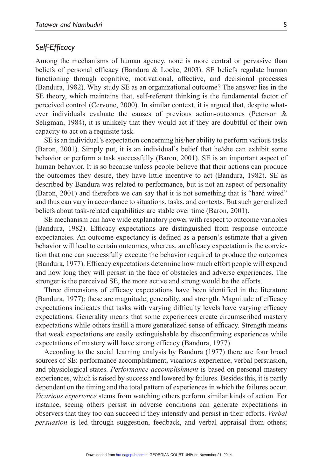## *Self-Efficacy*

Among the mechanisms of human agency, none is more central or pervasive than beliefs of personal efficacy (Bandura & Locke, 2003). SE beliefs regulate human functioning through cognitive, motivational, affective, and decisional processes (Bandura, 1982). Why study SE as an organizational outcome? The answer lies in the SE theory, which maintains that, self-referent thinking is the fundamental factor of perceived control (Cervone, 2000). In similar context, it is argued that, despite whatever individuals evaluate the causes of previous action-outcomes (Peterson & Seligman, 1984), it is unlikely that they would act if they are doubtful of their own capacity to act on a requisite task.

SE is an individual's expectation concerning his/her ability to perform various tasks (Baron, 2001). Simply put, it is an individual's belief that he/she can exhibit some behavior or perform a task successfully (Baron, 2001). SE is an important aspect of human behavior. It is so because unless people believe that their actions can produce the outcomes they desire, they have little incentive to act (Bandura, 1982). SE as described by Bandura was related to performance, but is not an aspect of personality (Baron, 2001) and therefore we can say that it is not something that is "hard wired" and thus can vary in accordance to situations, tasks, and contexts. But such generalized beliefs about task-related capabilities are stable over time (Baron, 2001).

SE mechanism can have wide explanatory power with respect to outcome variables (Bandura, 1982). Efficacy expectations are distinguished from response–outcome expectancies. An outcome expectancy is defined as a person's estimate that a given behavior will lead to certain outcomes, whereas, an efficacy expectation is the conviction that one can successfully execute the behavior required to produce the outcomes (Bandura, 1977). Efficacy expectations determine how much effort people will expend and how long they will persist in the face of obstacles and adverse experiences. The stronger is the perceived SE, the more active and strong would be the efforts.

Three dimensions of efficacy expectations have been identified in the literature (Bandura, 1977); these are magnitude, generality, and strength. Magnitude of efficacy expectations indicates that tasks with varying difficulty levels have varying efficacy expectations. Generality means that some experiences create circumscribed mastery expectations while others instill a more generalized sense of efficacy. Strength means that weak expectations are easily extinguishable by disconfirming experiences while expectations of mastery will have strong efficacy (Bandura, 1977).

According to the social learning analysis by Bandura (1977) there are four broad sources of SE: performance accomplishment, vicarious experience, verbal persuasion, and physiological states. *Performance accomplishment* is based on personal mastery experiences, which is raised by success and lowered by failures. Besides this, it is partly dependent on the timing and the total pattern of experiences in which the failures occur. *Vicarious experience* stems from watching others perform similar kinds of action. For instance, seeing others persist in adverse conditions can generate expectations in observers that they too can succeed if they intensify and persist in their efforts. *Verbal persuasion* is led through suggestion, feedback, and verbal appraisal from others;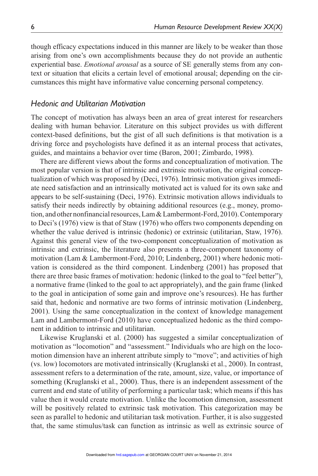though efficacy expectations induced in this manner are likely to be weaker than those arising from one's own accomplishments because they do not provide an authentic experiential base. *Emotional arousal* as a source of SE generally stems from any context or situation that elicits a certain level of emotional arousal; depending on the circumstances this might have informative value concerning personal competency.

## *Hedonic and Utilitarian Motivation*

The concept of motivation has always been an area of great interest for researchers dealing with human behavior. Literature on this subject provides us with different context-based definitions, but the gist of all such definitions is that motivation is a driving force and psychologists have defined it as an internal process that activates, guides, and maintains a behavior over time (Baron, 2001; Zimbardo, 1998).

There are different views about the forms and conceptualization of motivation. The most popular version is that of intrinsic and extrinsic motivation, the original conceptualization of which was proposed by (Deci, 1976). Intrinsic motivation gives immediate need satisfaction and an intrinsically motivated act is valued for its own sake and appears to be self-sustaining (Deci, 1976). Extrinsic motivation allows individuals to satisfy their needs indirectly by obtaining additional resources (e.g., money, promotion, and other nonfinancial resources, Lam & Lambermont-Ford, 2010). Contemporary to Deci's (1976) view is that of Staw (1976) who offers two components depending on whether the value derived is intrinsic (hedonic) or extrinsic (utilitarian, Staw, 1976). Against this general view of the two-component conceptualization of motivation as intrinsic and extrinsic, the literature also presents a three-component taxonomy of motivation (Lam & Lambermont-Ford, 2010; Lindenberg, 2001) where hedonic motivation is considered as the third component. Lindenberg (2001) has proposed that there are three basic frames of motivation: hedonic (linked to the goal to "feel better"), a normative frame (linked to the goal to act appropriately), and the gain frame (linked to the goal in anticipation of some gain and improve one's resources). He has further said that, hedonic and normative are two forms of intrinsic motivation (Lindenberg, 2001). Using the same conceptualization in the context of knowledge management Lam and Lambermont-Ford (2010) have conceptualized hedonic as the third component in addition to intrinsic and utilitarian.

Likewise Kruglanski et al. (2000) has suggested a similar conceptualization of motivation as "locomotion" and "assessment." Individuals who are high on the locomotion dimension have an inherent attribute simply to "move"; and activities of high (vs. low) locomotors are motivated intrinsically (Kruglanski et al., 2000). In contrast, assessment refers to a determination of the rate, amount, size, value, or importance of something (Kruglanski et al., 2000). Thus, there is an independent assessment of the current and end state of utility of performing a particular task; which means if this has value then it would create motivation. Unlike the locomotion dimension, assessment will be positively related to extrinsic task motivation. This categorization may be seen as parallel to hedonic and utilitarian task motivation. Further, it is also suggested that, the same stimulus/task can function as intrinsic as well as extrinsic source of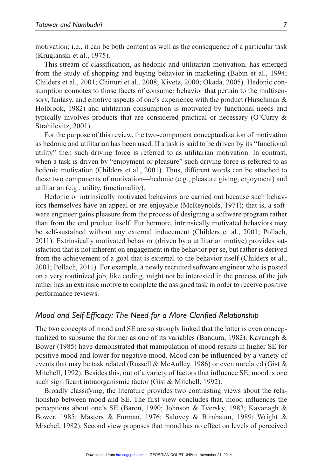motivation; i.e., it can be both content as well as the consequence of a particular task (Kruglanski et al., 1975).

This stream of classification, as hedonic and utilitarian motivation, has emerged from the study of shopping and buying behavior in marketing (Babin et al., 1994; Childers et al., 2001; Chitturi et al., 2008; Kivetz, 2000; Okada, 2005). Hedonic consumption connotes to those facets of consumer behavior that pertain to the multisensory, fantasy, and emotive aspects of one's experience with the product (Hirschman & Holbrook, 1982) and utilitarian consumption is motivated by functional needs and typically involves products that are considered practical or necessary (O'Curry & Strahilevitz, 2001).

For the purpose of this review, the two-component conceptualization of motivation as hedonic and utilitarian has been used. If a task is said to be driven by its "functional utility" then such driving force is referred to as utilitarian motivation. In contrast, when a task is driven by "enjoyment or pleasure" such driving force is referred to as hedonic motivation (Childers et al., 2001). Thus, different words can be attached to these two components of motivation—hedonic (e.g., pleasure giving, enjoyment) and utilitarian (e.g., utility, functionality).

Hedonic or intrinsically motivated behaviors are carried out because such behaviors themselves have an appeal or are enjoyable (McReynolds, 1971); that is, a software engineer gains pleasure from the process of designing a software program rather than from the end product itself. Furthermore, intrinsically motivated behaviors may be self-sustained without any external inducement (Childers et al., 2001; Pollach, 2011). Extrinsically motivated behavior (driven by a utilitarian motive) provides satisfaction that is not inherent on engagement in the behavior per se, but rather is derived from the achievement of a goal that is external to the behavior itself (Childers et al., 2001; Pollach, 2011). For example, a newly recruited software engineer who is posted on a very routinized job, like coding, might not be interested in the process of the job rather has an extrinsic motive to complete the assigned task in order to receive positive performance reviews.

## *Mood and Self-Efficacy: The Need for a More Clarified Relationship*

The two concepts of mood and SE are so strongly linked that the latter is even conceptualized to subsume the former as one of its variables (Bandura, 1982). Kavanagh  $\&$ Bower (1985) have demonstrated that manipulation of mood results in higher SE for positive mood and lower for negative mood. Mood can be influenced by a variety of events that may be task related (Russell & McAulley, 1986) or even unrelated (Gist & Mitchell, 1992). Besides this, out of a variety of factors that influence SE, mood is one such significant intraorganismic factor (Gist & Mitchell, 1992).

Broadly classifying, the literature provides two contrasting views about the relationship between mood and SE. The first view concludes that, mood influences the perceptions about one's SE (Baron, 1990; Johnson & Tversky, 1983; Kavanagh & Bower, 1985; Masters & Furman, 1976; Salovey & Birnbaum, 1989; Wright & Mischel, 1982). Second view proposes that mood has no effect on levels of perceived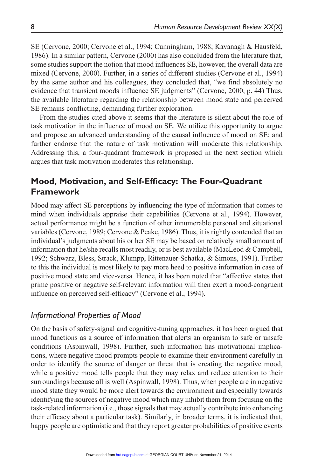SE (Cervone, 2000; Cervone et al., 1994; Cunningham, 1988; Kavanagh & Hausfeld, 1986). In a similar pattern, Cervone (2000) has also concluded from the literature that, some studies support the notion that mood influences SE, however, the overall data are mixed (Cervone, 2000). Further, in a series of different studies (Cervone et al., 1994) by the same author and his colleagues, they concluded that, "we find absolutely no evidence that transient moods influence SE judgments" (Cervone, 2000, p. 44) Thus, the available literature regarding the relationship between mood state and perceived SE remains conflicting, demanding further exploration.

From the studies cited above it seems that the literature is silent about the role of task motivation in the influence of mood on SE. We utilize this opportunity to argue and propose an advanced understanding of the causal influence of mood on SE; and further endorse that the nature of task motivation will moderate this relationship. Addressing this, a four-quadrant framework is proposed in the next section which argues that task motivation moderates this relationship.

## **Mood, Motivation, and Self-Efficacy: The Four-Quadrant Framework**

Mood may affect SE perceptions by influencing the type of information that comes to mind when individuals appraise their capabilities (Cervone et al., 1994). However, actual performance might be a function of other innumerable personal and situational variables (Cervone, 1989; Cervone & Peake, 1986). Thus, it is rightly contended that an individual's judgments about his or her SE may be based on relatively small amount of information that he/she recalls most readily, or is best available (MacLeod  $& \text{ Campbell}$ , 1992; Schwarz, Bless, Strack, Klumpp, Rittenauer-Schatka, & Simons, 1991). Further to this the individual is most likely to pay more heed to positive information in case of positive mood state and vice-versa. Hence, it has been noted that "affective states that prime positive or negative self-relevant information will then exert a mood-congruent influence on perceived self-efficacy" (Cervone et al., 1994).

## *Informational Properties of Mood*

On the basis of safety-signal and cognitive-tuning approaches, it has been argued that mood functions as a source of information that alerts an organism to safe or unsafe conditions (Aspinwall, 1998). Further, such information has motivational implications, where negative mood prompts people to examine their environment carefully in order to identify the source of danger or threat that is creating the negative mood, while a positive mood tells people that they may relax and reduce attention to their surroundings because all is well (Aspinwall, 1998). Thus, when people are in negative mood state they would be more alert towards the environment and especially towards identifying the sources of negative mood which may inhibit them from focusing on the task-related information (i.e., those signals that may actually contribute into enhancing their efficacy about a particular task). Similarly, in broader terms, it is indicated that, happy people are optimistic and that they report greater probabilities of positive events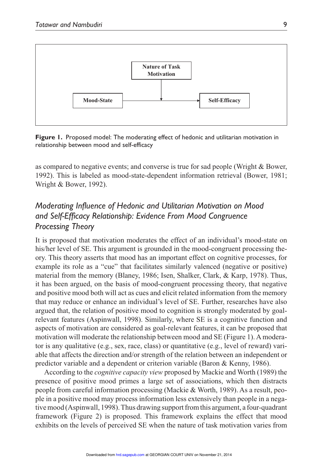

**Figure 1.** Proposed model: The moderating effect of hedonic and utilitarian motivation in relationship between mood and self-efficacy

as compared to negative events; and converse is true for sad people (Wright & Bower, 1992). This is labeled as mood-state-dependent information retrieval (Bower, 1981; Wright & Bower, 1992).

## *Moderating Influence of Hedonic and Utilitarian Motivation on Mood and Self-Efficacy Relationship: Evidence From Mood Congruence Processing Theory*

It is proposed that motivation moderates the effect of an individual's mood-state on his/her level of SE. This argument is grounded in the mood-congruent processing theory. This theory asserts that mood has an important effect on cognitive processes, for example its role as a "cue" that facilitates similarly valenced (negative or positive) material from the memory (Blaney, 1986; Isen, Shalker, Clark, & Karp, 1978). Thus, it has been argued, on the basis of mood-congruent processing theory, that negative and positive mood both will act as cues and elicit related information from the memory that may reduce or enhance an individual's level of SE. Further, researches have also argued that, the relation of positive mood to cognition is strongly moderated by goalrelevant features (Aspinwall, 1998). Similarly, where SE is a cognitive function and aspects of motivation are considered as goal-relevant features, it can be proposed that motivation will moderate the relationship between mood and SE (Figure 1). A moderator is any qualitative (e.g., sex, race, class) or quantitative (e.g., level of reward) variable that affects the direction and/or strength of the relation between an independent or predictor variable and a dependent or criterion variable (Baron & Kenny, 1986).

According to the *cognitive capacity view* proposed by Mackie and Worth (1989) the presence of positive mood primes a large set of associations, which then distracts people from careful information processing (Mackie & Worth, 1989). As a result, people in a positive mood may process information less extensively than people in a negative mood (Aspinwall, 1998). Thus drawing support from this argument, a four-quadrant framework (Figure 2) is proposed. This framework explains the effect that mood exhibits on the levels of perceived SE when the nature of task motivation varies from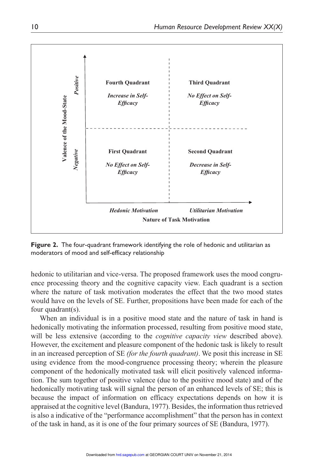

**Figure 2.** The four-quadrant framework identifying the role of hedonic and utilitarian as moderators of mood and self-efficacy relationship

hedonic to utilitarian and vice-versa. The proposed framework uses the mood congruence processing theory and the cognitive capacity view. Each quadrant is a section where the nature of task motivation moderates the effect that the two mood states would have on the levels of SE. Further, propositions have been made for each of the four quadrant(s).

When an individual is in a positive mood state and the nature of task in hand is hedonically motivating the information processed, resulting from positive mood state, will be less extensive (according to the *cognitive capacity view* described above). However, the excitement and pleasure component of the hedonic task is likely to result in an increased perception of SE *(for the fourth quadrant)*. We posit this increase in SE using evidence from the mood-congruence processing theory; wherein the pleasure component of the hedonically motivated task will elicit positively valenced information. The sum together of positive valence (due to the positive mood state) and of the hedonically motivating task will signal the person of an enhanced levels of SE; this is because the impact of information on efficacy expectations depends on how it is appraised at the cognitive level (Bandura, 1977). Besides, the information thus retrieved is also a indicative of the "performance accomplishment" that the person has in context of the task in hand, as it is one of the four primary sources of SE (Bandura, 1977).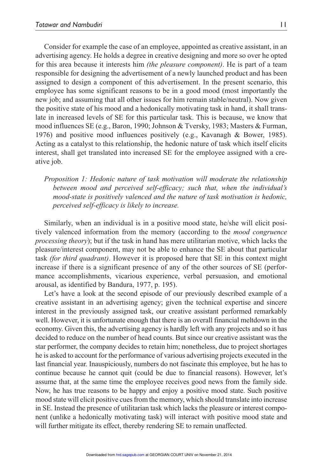Consider for example the case of an employee, appointed as creative assistant, in an advertising agency. He holds a degree in creative designing and more so over he opted for this area because it interests him *(the pleasure component)*. He is part of a team responsible for designing the advertisement of a newly launched product and has been assigned to design a component of this advertisement. In the present scenario, this employee has some significant reasons to be in a good mood (most importantly the new job; and assuming that all other issues for him remain stable/neutral). Now given the positive state of his mood and a hedonically motivating task in hand, it shall translate in increased levels of SE for this particular task. This is because, we know that mood influences SE (e.g., Baron, 1990; Johnson & Tversky, 1983; Masters & Furman, 1976) and positive mood influences positively (e.g., Kavanagh & Bower, 1985). Acting as a catalyst to this relationship, the hedonic nature of task which itself elicits interest, shall get translated into increased SE for the employee assigned with a creative job.

## *Proposition 1: Hedonic nature of task motivation will moderate the relationship between mood and perceived self-efficacy; such that, when the individual's mood-state is positively valenced and the nature of task motivation is hedonic, perceived self-efficacy is likely to increase.*

Similarly, when an individual is in a positive mood state, he/she will elicit positively valenced information from the memory (according to the *mood congruence processing theory*); but if the task in hand has mere utilitarian motive, which lacks the pleasure/interest component, may not be able to enhance the SE about that particular task *(for third quadrant)*. However it is proposed here that SE in this context might increase if there is a significant presence of any of the other sources of SE (performance accomplishments, vicarious experience, verbal persuasion, and emotional arousal, as identified by Bandura, 1977, p. 195).

Let's have a look at the second episode of our previously described example of a creative assistant in an advertising agency; given the technical expertise and sincere interest in the previously assigned task, our creative assistant performed remarkably well. However, it is unfortunate enough that there is an overall financial meltdown in the economy. Given this, the advertising agency is hardly left with any projects and so it has decided to reduce on the number of head counts. But since our creative assistant was the star performer, the company decides to retain him; nonetheless, due to project shortages he is asked to account for the performance of various advertising projects executed in the last financial year. Inauspiciously, numbers do not fascinate this employee, but he has to continue because he cannot quit (could be due to financial reasons). However, let's assume that, at the same time the employee receives good news from the family side. Now, he has true reasons to be happy and enjoy a positive mood state. Such positive mood state will elicit positive cues from the memory, which should translate into increase in SE. Instead the presence of utilitarian task which lacks the pleasure or interest component (unlike a hedonically motivating task) will interact with positive mood state and will further mitigate its effect, thereby rendering SE to remain unaffected.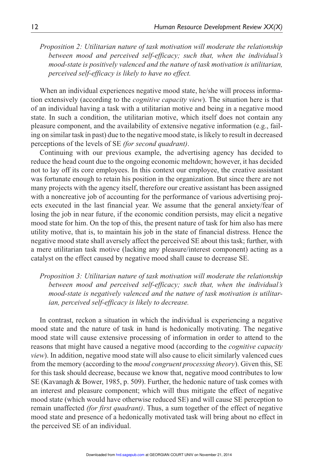*Proposition 2: Utilitarian nature of task motivation will moderate the relationship between mood and perceived self-efficacy; such that, when the individual's mood-state is positively valenced and the nature of task motivation is utilitarian, perceived self-efficacy is likely to have no effect.*

When an individual experiences negative mood state, he/she will process information extensively (according to the *cognitive capacity view*). The situation here is that of an individual having a task with a utilitarian motive and being in a negative mood state. In such a condition, the utilitarian motive, which itself does not contain any pleasure component, and the availability of extensive negative information (e.g., failing on similar task in past) due to the negative mood state, is likely to result in decreased perceptions of the levels of SE *(for second quadrant)*.

Continuing with our previous example, the advertising agency has decided to reduce the head count due to the ongoing economic meltdown; however, it has decided not to lay off its core employees. In this context our employee, the creative assistant was fortunate enough to retain his position in the organization. But since there are not many projects with the agency itself, therefore our creative assistant has been assigned with a noncreative job of accounting for the performance of various advertising projects executed in the last financial year. We assume that the general anxiety/fear of losing the job in near future, if the economic condition persists, may elicit a negative mood state for him. On the top of this, the present nature of task for him also has mere utility motive, that is, to maintain his job in the state of financial distress. Hence the negative mood state shall aversely affect the perceived SE about this task; further, with a mere utilitarian task motive (lacking any pleasure/interest component) acting as a catalyst on the effect caused by negative mood shall cause to decrease SE.

*Proposition 3: Utilitarian nature of task motivation will moderate the relationship between mood and perceived self-efficacy; such that, when the individual's mood-state is negatively valenced and the nature of task motivation is utilitarian, perceived self-efficacy is likely to decrease.*

In contrast, reckon a situation in which the individual is experiencing a negative mood state and the nature of task in hand is hedonically motivating. The negative mood state will cause extensive processing of information in order to attend to the reasons that might have caused a negative mood (according to the *cognitive capacity view*). In addition, negative mood state will also cause to elicit similarly valenced cues from the memory (according to the *mood congruent processing theory*). Given this, SE for this task should decrease, because we know that, negative mood contributes to low SE (Kavanagh & Bower, 1985, p. 509). Further, the hedonic nature of task comes with an interest and pleasure component; which will thus mitigate the effect of negative mood state (which would have otherwise reduced SE) and will cause SE perception to remain unaffected *(for first quadrant)*. Thus, a sum together of the effect of negative mood state and presence of a hedonically motivated task will bring about no effect in the perceived SE of an individual.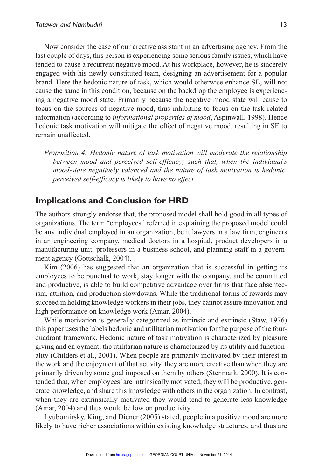Now consider the case of our creative assistant in an advertising agency. From the last couple of days, this person is experiencing some serious family issues, which have tended to cause a recurrent negative mood. At his workplace, however, he is sincerely engaged with his newly constituted team, designing an advertisement for a popular brand. Here the hedonic nature of task, which would otherwise enhance SE, will not cause the same in this condition, because on the backdrop the employee is experiencing a negative mood state. Primarily because the negative mood state will cause to focus on the sources of negative mood, thus inhibiting to focus on the task related information (according to *informational properties of mood*, Aspinwall, 1998). Hence hedonic task motivation will mitigate the effect of negative mood, resulting in SE to remain unaffected.

*Proposition 4: Hedonic nature of task motivation will moderate the relationship between mood and perceived self-efficacy; such that, when the individual's mood-state negatively valenced and the nature of task motivation is hedonic, perceived self-efficacy is likely to have no effect.*

## **Implications and Conclusion for HRD**

The authors strongly endorse that, the proposed model shall hold good in all types of organizations. The term "employees" referred in explaining the proposed model could be any individual employed in an organization; be it lawyers in a law firm, engineers in an engineering company, medical doctors in a hospital, product developers in a manufacturing unit, professors in a business school, and planning staff in a government agency (Gottschalk, 2004).

Kim (2006) has suggested that an organization that is successful in getting its employees to be punctual to work, stay longer with the company, and be committed and productive, is able to build competitive advantage over firms that face absenteeism, attrition, and production slowdowns. While the traditional forms of rewards may succeed in holding knowledge workers in their jobs, they cannot assure innovation and high performance on knowledge work (Amar, 2004).

While motivation is generally categorized as intrinsic and extrinsic (Staw, 1976) this paper uses the labels hedonic and utilitarian motivation for the purpose of the fourquadrant framework. Hedonic nature of task motivation is characterized by pleasure giving and enjoyment; the utilitarian nature is characterized by its utility and functionality (Childers et al., 2001). When people are primarily motivated by their interest in the work and the enjoyment of that activity, they are more creative than when they are primarily driven by some goal imposed on them by others (Stenmark, 2000). It is contended that, when employees' are intrinsically motivated, they will be productive, generate knowledge, and share this knowledge with others in the organization. In contrast, when they are extrinsically motivated they would tend to generate less knowledge (Amar, 2004) and thus would be low on productivity.

Lyubomirsky, King, and Diener (2005) stated, people in a positive mood are more likely to have richer associations within existing knowledge structures, and thus are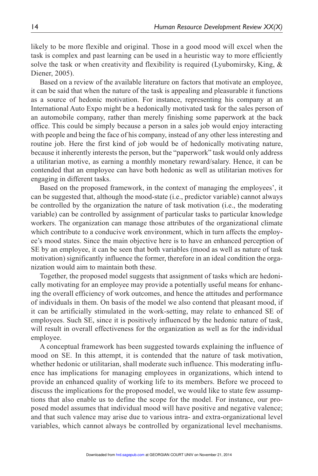likely to be more flexible and original. Those in a good mood will excel when the task is complex and past learning can be used in a heuristic way to more efficiently solve the task or when creativity and flexibility is required (Lyubomirsky, King, & Diener, 2005).

Based on a review of the available literature on factors that motivate an employee, it can be said that when the nature of the task is appealing and pleasurable it functions as a source of hedonic motivation. For instance, representing his company at an International Auto Expo might be a hedonically motivated task for the sales person of an automobile company, rather than merely finishing some paperwork at the back office. This could be simply because a person in a sales job would enjoy interacting with people and being the face of his company, instead of any other less interesting and routine job. Here the first kind of job would be of hedonically motivating nature, because it inherently interests the person, but the "paperwork" task would only address a utilitarian motive, as earning a monthly monetary reward/salary. Hence, it can be contended that an employee can have both hedonic as well as utilitarian motives for engaging in different tasks.

Based on the proposed framework, in the context of managing the employees', it can be suggested that, although the mood-state (i.e., predictor variable) cannot always be controlled by the organization the nature of task motivation (i.e., the moderating variable) can be controlled by assignment of particular tasks to particular knowledge workers. The organization can manage those attributes of the organizational climate which contribute to a conducive work environment, which in turn affects the employee's mood states. Since the main objective here is to have an enhanced perception of SE by an employee, it can be seen that both variables (mood as well as nature of task motivation) significantly influence the former, therefore in an ideal condition the organization would aim to maintain both these.

Together, the proposed model suggests that assignment of tasks which are hedonically motivating for an employee may provide a potentially useful means for enhancing the overall efficiency of work outcomes, and hence the attitudes and performance of individuals in them. On basis of the model we also contend that pleasant mood, if it can be artificially stimulated in the work-setting, may relate to enhanced SE of employees. Such SE, since it is positively influenced by the hedonic nature of task, will result in overall effectiveness for the organization as well as for the individual employee.

A conceptual framework has been suggested towards explaining the influence of mood on SE. In this attempt, it is contended that the nature of task motivation, whether hedonic or utilitarian, shall moderate such influence. This moderating influence has implications for managing employees in organizations, which intend to provide an enhanced quality of working life to its members. Before we proceed to discuss the implications for the proposed model, we would like to state few assumptions that also enable us to define the scope for the model. For instance, our proposed model assumes that individual mood will have positive and negative valence; and that such valence may arise due to various intra- and extra-organizational level variables, which cannot always be controlled by organizational level mechanisms.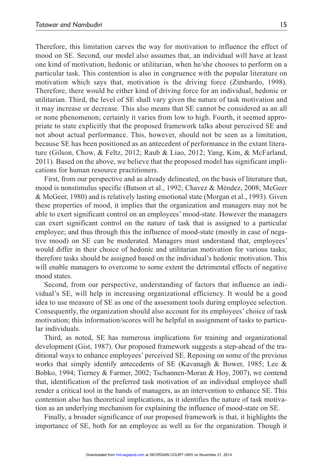Therefore, this limitation carves the way for motivation to influence the effect of mood on SE. Second, our model also assumes that, an individual will have at least one kind of motivation, hedonic or utilitarian, when he/she chooses to perform on a particular task. This contention is also in congruence with the popular literature on motivation which says that, motivation is the driving force (Zimbardo, 1998). Therefore, there would be either kind of driving force for an individual, hedonic or utilitarian. Third, the level of SE shall vary given the nature of task motivation and it may increase or decrease. This also means that SE cannot be considered as an all or none phenomenon; certainly it varies from low to high. Fourth, it seemed appropriate to state explicitly that the proposed framework talks about perceived SE and not about actual performance. This, however, should not be seen as a limitation, because SE has been positioned as an antecedent of performance in the extant literature (Gilson, Chow, & Feltz, 2012; Raub & Liao, 2012; Yang, Kim, & McFarland, 2011). Based on the above, we believe that the proposed model has significant implications for human resource practitioners.

First, from our perspective and as already delineated, on the basis of literature that, mood is nonstimulus specific (Batson et al., 1992; Chavez & Méndez, 2008; McGeer & McGeer, 1980) and is relatively lasting emotional state (Morgan et al., 1993). Given these properties of mood, it implies that the organization and managers may not be able to exert significant control on an employees' mood-state. However the managers can exert significant control on the nature of task that is assigned to a particular employee; and thus through this the influence of mood-state (mostly in case of negative mood) on SE can be moderated. Managers must understand that, employees' would differ in their choice of hedonic and utilitarian motivation for various tasks; therefore tasks should be assigned based on the individual's hedonic motivation. This will enable managers to overcome to some extent the detrimental effects of negative mood states.

Second, from our perspective, understanding of factors that influence an individual's SE, will help in increasing organizational efficiency. It would be a good idea to use measure of SE as one of the assessment tools during employee selection. Consequently, the organization should also account for its employees' choice of task motivation; this information/scores will be helpful in assignment of tasks to particular individuals.

Third, as noted, SE has numerous implications for training and organizational development (Gist, 1987). Our proposed framework suggests a step-ahead of the traditional ways to enhance employees' perceived SE. Reposing on some of the previous works that simply identify antecedents of SE (Kavanagh & Bower, 1985; Lee & Bobko, 1994; Tierney & Farmer, 2002; Tschannen-Moran & Hoy, 2007), we contend that, identification of the preferred task motivation of an individual employee shall render a critical tool in the hands of managers, as an intervention to enhance SE. This contention also has theoretical implications, as it identifies the nature of task motivation as an underlying mechanism for explaining the influence of mood-state on SE.

Finally, a broader significance of our proposed framework is that, it highlights the importance of SE, both for an employee as well as for the organization. Though it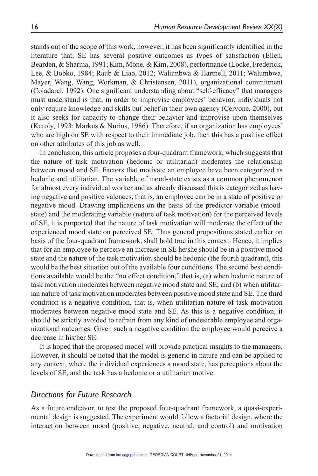stands out of the scope of this work, however, it has been significantly identified in the literature that, SE has several positive outcomes as types of satisfaction (Ellen, Bearden, & Sharma, 1991; Kim, Mone, & Kim, 2008), performance (Locke, Frederick, Lee, & Bobko, 1984; Raub & Liao, 2012; Walumbwa & Hartnell, 2011; Walumbwa, Mayer, Wang, Wang, Workman, & Christensen, 2011), organizational commitment (Coladarci, 1992). One significant understanding about "self-efficacy" that managers must understand is that, in order to improvise employees' behavior, individuals not only require knowledge and skills but belief in their own agency (Cervone, 2000), but it also seeks for capacity to change their behavior and improvise upon themselves (Karoly, 1993; Markus & Nurius, 1986). Therefore, if an organization has employees' who are high on SE with respect to their immediate job, then this has a positive effect on other attributes of this job as well.

In conclusion, this article proposes a four-quadrant framework, which suggests that the nature of task motivation (hedonic or utilitarian) moderates the relationship between mood and SE. Factors that motivate an employee have been categorized as hedonic and utilitarian. The variable of mood-state exists as a common phenomenon for almost every individual worker and as already discussed this is categorized as having negative and positive valences, that is, an employee can be in a state of positive or negative mood. Drawing implications on the basis of the predictor variable (moodstate) and the moderating variable (nature of task motivation) for the perceived levels of SE, it is purported that the nature of task motivation will moderate the effect of the experienced mood state on perceived SE. Thus general propositions stated earlier on basis of the four-quadrant framework, shall hold true in this context. Hence, it implies that for an employee to perceive an increase in SE he/she should be in a positive mood state and the nature of the task motivation should be hedonic (the fourth quadrant), this would be the best situation out of the available four conditions. The second best conditions available would be the "no effect condition," that is, (a) when hedonic nature of task motivation moderates between negative mood state and SE; and (b) when utilitarian nature of task motivation moderates between positive mood state and SE. The third condition is a negative condition, that is, when utilitarian nature of task motivation moderates between negative mood state and SE. As this is a negative condition, it should be strictly avoided to refrain from any kind of undesirable employee and organizational outcomes. Given such a negative condition the employee would perceive a decrease in his/her SE.

It is hoped that the proposed model will provide practical insights to the managers. However, it should be noted that the model is generic in nature and can be applied to any context, where the individual experiences a mood state, has perceptions about the levels of SE, and the task has a hedonic or a utilitarian motive.

#### *Directions for Future Research*

As a future endeavor, to test the proposed four-quadrant framework, a quasi-experimental design is suggested. The experiment would follow a factorial design, where the interaction between mood (positive, negative, neutral, and control) and motivation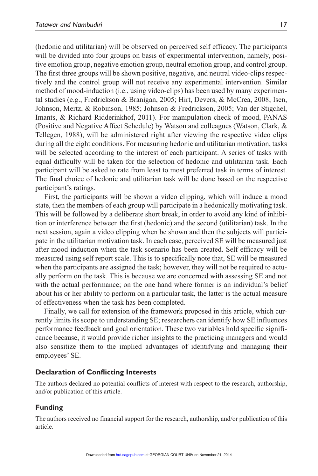(hedonic and utilitarian) will be observed on perceived self efficacy. The participants will be divided into four groups on basis of experimental intervention, namely, positive emotion group, negative emotion group, neutral emotion group, and control group. The first three groups will be shown positive, negative, and neutral video-clips respectively and the control group will not receive any experimental intervention. Similar method of mood-induction (i.e., using video-clips) has been used by many experimental studies (e.g., Fredrickson & Branigan, 2005; Hirt, Devers, & McCrea, 2008; Isen, Johnson, Mertz, & Robinson, 1985; Johnson & Fredrickson, 2005; Van der Stigchel, Imants, & Richard Ridderinkhof, 2011). For manipulation check of mood, PANAS (Positive and Negative Affect Schedule) by Watson and colleagues (Watson, Clark, & Tellegen, 1988), will be administered right after viewing the respective video clips during all the eight conditions. For measuring hedonic and utilitarian motivation, tasks will be selected according to the interest of each participant. A series of tasks with equal difficulty will be taken for the selection of hedonic and utilitarian task. Each participant will be asked to rate from least to most preferred task in terms of interest. The final choice of hedonic and utilitarian task will be done based on the respective participant's ratings.

First, the participants will be shown a video clipping, which will induce a mood state, then the members of each group will participate in a hedonically motivating task. This will be followed by a deliberate short break, in order to avoid any kind of inhibition or interference between the first (hedonic) and the second (utilitarian) task. In the next session, again a video clipping when be shown and then the subjects will participate in the utilitarian motivation task. In each case, perceived SE will be measured just after mood induction when the task scenario has been created. Self efficacy will be measured using self report scale. This is to specifically note that, SE will be measured when the participants are assigned the task; however, they will not be required to actually perform on the task. This is because we are concerned with assessing SE and not with the actual performance; on the one hand where former is an individual's belief about his or her ability to perform on a particular task, the latter is the actual measure of effectiveness when the task has been completed.

Finally, we call for extension of the framework proposed in this article, which currently limits its scope to understanding SE; researchers can identify how SE influences performance feedback and goal orientation. These two variables hold specific significance because, it would provide richer insights to the practicing managers and would also sensitize them to the implied advantages of identifying and managing their employees' SE.

#### **Declaration of Conflicting Interests**

The authors declared no potential conflicts of interest with respect to the research, authorship, and/or publication of this article.

#### **Funding**

The authors received no financial support for the research, authorship, and/or publication of this article.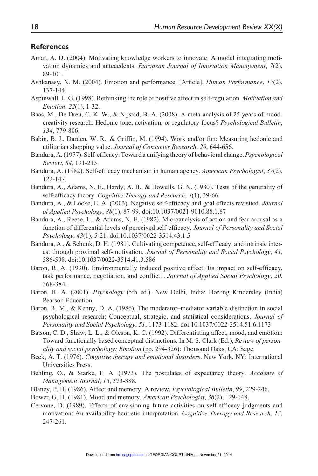#### **References**

- Amar, A. D. (2004). Motivating knowledge workers to innovate: A model integrating motivation dynamics and antecedents. *European Journal of Innovation Management*, *7*(2), 89-101.
- Ashkanasy, N. M. (2004). Emotion and performance. [Article]. *Human Performance*, *17*(2), 137-144.
- Aspinwall, L. G. (1998). Rethinking the role of positive affect in self-regulation. *Motivation and Emotion*, *22*(1), 1-32.
- Baas, M., De Dreu, C. K. W., & Nijstad, B. A. (2008). A meta-analysis of 25 years of moodcreativity research: Hedonic tone, activation, or regulatory focus? *Psychological Bulletin*, *134*, 779-806.
- Babin, B. J., Darden, W. R., & Griffin, M. (1994). Work and/or fun: Measuring hedonic and utilitarian shopping value. *Journal of Consumer Research*, *20*, 644-656.
- Bandura, A. (1977). Self-efficacy: Toward a unifying theory of behavioral change. *Psychological Review*, *84*, 191-215.
- Bandura, A. (1982). Self-efficacy mechanism in human agency. *American Psychologist*, *37*(2), 122-147.
- Bandura, A., Adams, N. E., Hardy, A. B., & Howells, G. N. (1980). Tests of the generality of self-efficacy theory. *Cognitive Therapy and Research*, *4*(1), 39-66.
- Bandura, A., & Locke, E. A. (2003). Negative self-efficacy and goal effects revisited. *Journal of Applied Psychology*, *88*(1), 87-99. doi:10.1037/0021-9010.88.1.87
- Bandura, A., Reese, L., & Adams, N. E. (1982). Microanalysis of action and fear arousal as a function of differential levels of perceived self-efficacy. *Journal of Personality and Social Psychology*, *43*(1), 5-21. doi:10.1037/0022-3514.43.1.5
- Bandura, A., & Schunk, D. H. (1981). Cultivating competence, self-efficacy, and intrinsic interest through proximal self-motivation. *Journal of Personality and Social Psychology*, *41*, 586-598. doi:10.1037/0022-3514.41.3.586
- Baron, R. A. (1990). Environmentally induced positive affect: Its impact on self-efficacy, task performance, negotiation, and conflict1. *Journal of Applied Social Psychology*, *20*, 368-384.
- Baron, R. A. (2001). *Psychology* (5th ed.). New Delhi, India: Dorling Kindersley (India) Pearson Education.
- Baron, R. M., & Kenny, D. A. (1986). The moderator–mediator variable distinction in social psychological research: Conceptual, strategic, and statistical considerations. *Journal of Personality and Social Psychology*, *51*, 1173-1182. doi:10.1037/0022-3514.51.6.1173
- Batson, C. D., Shaw, L. L., & Oleson, K. C. (1992). Differentiating affect, mood, and emotion: Toward functionally based conceptual distinctions. In M. S. Clark (Ed.), *Review of personality and social psychology: Emotion* (pp. 294-326): Thousand Oaks, CA: Sage.
- Beck, A. T. (1976). *Cognitive therapy and emotional disorders*. New York, NY: International Universities Press.
- Behling, O., & Starke, F. A. (1973). The postulates of expectancy theory. *Academy of Management Journal*, *16*, 373-388.
- Blaney, P. H. (1986). Affect and memory: A review. *Psychological Bulletin*, *99*, 229-246.
- Bower, G. H. (1981). Mood and memory. *American Psychologist*, *36*(2), 129-148.
- Cervone, D. (1989). Effects of envisioning future activities on self-efficacy judgments and motivation: An availability heuristic interpretation. *Cognitive Therapy and Research*, *13*, 247-261.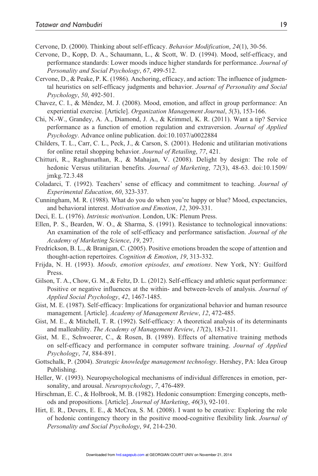Cervone, D. (2000). Thinking about self-efficacy. *Behavior Modification*, *24*(1), 30-56.

- Cervone, D., Kopp, D. A., Schaumann, L., & Scott, W. D. (1994). Mood, self-efficacy, and performance standards: Lower moods induce higher standards for performance. *Journal of Personality and Social Psychology*, *67*, 499-512.
- Cervone, D., & Peake, P. K. (1986). Anchoring, efficacy, and action: The influence of judgmental heuristics on self-efficacy judgments and behavior. *Journal of Personality and Social Psychology*, *50*, 492-501.
- Chavez, C. I., & Méndez, M. J. (2008). Mood, emotion, and affect in group performance: An experiential exercise. [Article]. *Organization Management Journal*, *5*(3), 153-166.
- Chi, N.-W., Grandey, A. A., Diamond, J. A., & Krimmel, K. R. (2011). Want a tip? Service performance as a function of emotion regulation and extraversion. *Journal of Applied Psychology*. Advance online publication. doi:10.1037/a0022884
- Childers, T. L., Carr, C. L., Peck, J., & Carson, S. (2001). Hedonic and utilitarian motivations for online retail shopping behavior. *Journal of Retailing*, *77*, 421.
- Chitturi, R., Raghunathan, R., & Mahajan, V. (2008). Delight by design: The role of hedonic Versus utilitarian benefits. *Journal of Marketing*, *72*(3), 48-63. doi:10.1509/ jmkg.72.3.48
- Coladarci, T. (1992). Teachers' sense of efficacy and commitment to teaching. *Journal of Experimental Education*, *60*, 323-337.
- Cunningham, M. R. (1988). What do you do when you're happy or blue? Mood, expectancies, and behavioral interest. *Motivation and Emotion*, *12*, 309-331.
- Deci, E. L. (1976). *Intrinsic motivation*. London, UK: Plenum Press.
- Ellen, P. S., Bearden, W. O., & Sharma, S. (1991). Resistance to technological innovations: An examination of the role of self-efficacy and performance satisfaction. *Journal of the Academy of Marketing Science*, *19*, 297.
- Fredrickson, B. L., & Branigan, C. (2005). Positive emotions broaden the scope of attention and thought-action repertoires. *Cognition & Emotion*, *19*, 313-332.
- Frijda, N. H. (1993). *Moods, emotion episodes, and emotions*. New York, NY: Guilford Press.
- Gilson, T. A., Chow, G. M., & Feltz, D. L. (2012). Self-efficacy and athletic squat performance: Positive or negative influences at the within- and between-levels of analysis. *Journal of Applied Social Psychology*, *42*, 1467-1485.
- Gist, M. E. (1987). Self-efficacy: Implications for organizational behavior and human resource management. [Article]. *Academy of Management Review*, *12*, 472-485.
- Gist, M. E., & Mitchell, T. R. (1992). Self-efficacy: A theoretical analysis of its determinants and malleability. *The Academy of Management Review*, *17*(2), 183-211.
- Gist, M. E., Schwoerer, C., & Rosen, B. (1989). Effects of alternative training methods on self-efficacy and performance in computer software training. *Journal of Applied Psychology*, *74*, 884-891.
- Gottschalk, P. (2004). *Strategic knowledge management technology*. Hershey, PA: Idea Group Publishing.
- Heller, W. (1993). Neuropsychological mechanisms of individual differences in emotion, personality, and arousal. *Neuropsychology*, *7*, 476-489.
- Hirschman, E. C., & Holbrook, M. B. (1982). Hedonic consumption: Emerging concepts, methods and propositions. [Article]. *Journal of Marketing*, *46*(3), 92-101.
- Hirt, E. R., Devers, E. E., & McCrea, S. M. (2008). I want to be creative: Exploring the role of hedonic contingency theory in the positive mood-cognitive flexibility link. *Journal of Personality and Social Psychology*, *94*, 214-230.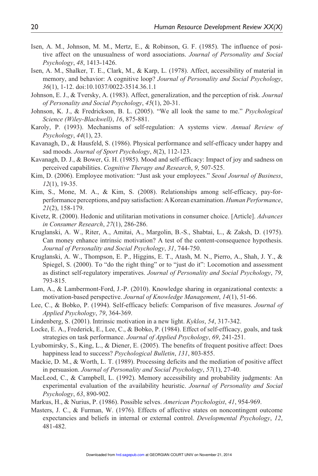- Isen, A. M., Johnson, M. M., Mertz, E., & Robinson, G. F. (1985). The influence of positive affect on the unusualness of word associations. *Journal of Personality and Social Psychology*, *48*, 1413-1426.
- Isen, A. M., Shalker, T. E., Clark, M., & Karp, L. (1978). Affect, accessibility of material in memory, and behavior: A cognitive loop? *Journal of Personality and Social Psychology*, *36*(1), 1-12. doi:10.1037/0022-3514.36.1.1
- Johnson, E. J., & Tversky, A. (1983). Affect, generalization, and the perception of risk. *Journal of Personality and Social Psychology*, *45*(1), 20-31.
- Johnson, K. J., & Fredrickson, B. L. (2005). "We all look the same to me." *Psychological Science (Wiley-Blackwell)*, *16*, 875-881.
- Karoly, P. (1993). Mechanisms of self-regulation: A systems view. *Annual Review of Psychology*, *44*(1), 23.
- Kavanagh, D., & Hausfeld, S. (1986). Physical performance and self-efficacy under happy and sad moods. *Journal of Sport Psychology*, *8*(2), 112-123.
- Kavanagh, D. J., & Bower, G. H. (1985). Mood and self-efficacy: Impact of joy and sadness on perceived capabilities. *Cognitive Therapy and Research*, *9*, 507-525.
- Kim, D. (2006). Employee motivation: "Just ask your employees." *Seoul Journal of Business*, *12*(1), 19-35.
- Kim, S., Mone, M. A., & Kim, S. (2008). Relationships among self-efficacy, pay-forperformance perceptions, and pay satisfaction: A Korean examination. *Human Performance*, *21*(2), 158-179.
- Kivetz, R. (2000). Hedonic and utilitarian motivations in consumer choice. [Article]. *Advances in Consumer Research*, *27*(1), 286-286.
- Kruglanski, A. W., Riter, A., Amitai, A., Margolin, B.-S., Shabtai, L., & Zaksh, D. (1975). Can money enhance intrinsic motivation? A test of the content-consequence hypothesis. *Journal of Personality and Social Psychology*, *31*, 744-750.
- Kruglanski, A. W., Thompson, E. P., Higgins, E. T., Atash, M. N., Pierro, A., Shah, J. Y., & Spiegel, S. (2000). To "do the right thing" or to "just do it": Locomotion and assessment as distinct self-regulatory imperatives. *Journal of Personality and Social Psychology*, *79*, 793-815.
- Lam, A., & Lambermont-Ford, J.-P. (2010). Knowledge sharing in organizational contexts: a motivation-based perspective. *Journal of Knowledge Management*, *14*(1), 51-66.
- Lee, C., & Bobko, P. (1994). Self-efficacy beliefs: Comparison of five measures. *Journal of Applied Psychology*, *79*, 364-369.
- Lindenberg, S. (2001). Intrinsic motivation in a new light. *Kyklos*, *54*, 317-342.
- Locke, E. A., Frederick, E., Lee, C., & Bobko, P. (1984). Effect of self-efficacy, goals, and task strategies on task performance. *Journal of Applied Psychology*, *69*, 241-251.
- Lyubomirsky, S., King, L., & Diener, E. (2005). The benefits of frequent positive affect: Does happiness lead to success? *Psychological Bulletin*, *131*, 803-855.
- Mackie, D. M., & Worth, L. T. (1989). Processing deficits and the mediation of positive affect in persuasion. *Journal of Personality and Social Psychology*, *57*(1), 27-40.
- MacLeod, C., & Campbell, L. (1992). Memory accessibility and probability judgments: An experimental evaluation of the availability heuristic. *Journal of Personality and Social Psychology*, *63*, 890-902.
- Markus, H., & Nurius, P. (1986). Possible selves. *American Psychologist*, *41*, 954-969.
- Masters, J. C., & Furman, W. (1976). Effects of affective states on noncontingent outcome expectancies and beliefs in internal or external control. *Developmental Psychology*, *12*, 481-482.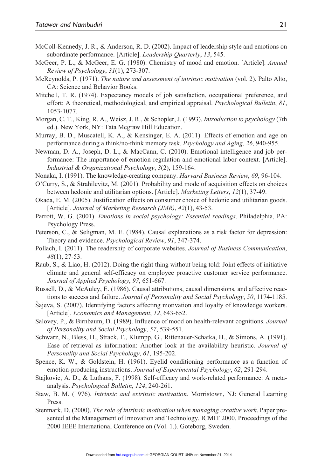- McColl-Kennedy, J. R., & Anderson, R. D. (2002). Impact of leadership style and emotions on subordinate performance. [Article]. *Leadership Quarterly*, *13*, 545.
- McGeer, P. L., & McGeer, E. G. (1980). Chemistry of mood and emotion. [Article]. *Annual Review of Psychology*, *31*(1), 273-307.
- McReynolds, P. (1971). *The nature and assessment of intrinsic motivation* (vol. 2). Palto Alto, CA: Science and Behavior Books.
- Mitchell, T. R. (1974). Expectancy models of job satisfaction, occupational preference, and effort: A theoretical, methodological, and empirical appraisal. *Psychological Bulletin*, *81*, 1053-1077.
- Morgan, C. T., King, R. A., Weisz, J. R., & Schopler, J. (1993). *Introduction to psychology* (7th ed.). New York, NY: Tata Mcgraw Hill Education.
- Murray, B. D., Muscatell, K. A., & Kensinger, E. A. (2011). Effects of emotion and age on performance during a think/no-think memory task. *Psychology and Aging*, *26*, 940-955.
- Newman, D. A., Joseph, D. L., & MacCann, C. (2010). Emotional intelligence and job performance: The importance of emotion regulation and emotional labor context. [Article]. *Industrial & Organizational Psychology*, *3*(2), 159-164.
- Nonaka, I. (1991). The knowledge-creating company. *Harvard Business Review*, *69*, 96-104.
- O'Curry, S., & Strahilevitz, M. (2001). Probability and mode of acquisition effects on choices between hedonic and utilitarian options. [Article]. *Marketing Letters*, *12*(1), 37-49.
- Okada, E. M. (2005). Justification effects on consumer choice of hedonic and utilitarian goods. [Article]. *Journal of Marketing Research (JMR)*, *42*(1), 43-53.
- Parrott, W. G. (2001). *Emotions in social psychology: Essential readings*. Philadelphia, PA: Psychology Press.
- Peterson, C., & Seligman, M. E. (1984). Causal explanations as a risk factor for depression: Theory and evidence. *Psychological Review*, *91*, 347-374.
- Pollach, I. (2011). The readership of corporate websites. *Journal of Business Communication*, *48*(1), 27-53.
- Raub, S., & Liao, H. (2012). Doing the right thing without being told: Joint effects of initiative climate and general self-efficacy on employee proactive customer service performance. *Journal of Applied Psychology*, *97*, 651-667.
- Russell, D., & McAuley, E. (1986). Causal attributions, causal dimensions, and affective reactions to success and failure. *Journal of Personality and Social Psychology*, *50*, 1174-1185.
- Šajeva, S. (2007). Identifying factors affecting motivation and loyalty of knowledge workers. [Article]. *Economics and Management*, *12*, 643-652.

Salovey, P., & Birnbaum, D. (1989). Influence of mood on health-relevant cognitions. *Journal of Personality and Social Psychology*, *57*, 539-551.

- Schwarz, N., Bless, H., Strack, F., Klumpp, G., Rittenauer-Schatka, H., & Simons, A. (1991). Ease of retrieval as information: Another look at the availability heuristic. *Journal of Personality and Social Psychology*, *61*, 195-202.
- Spence, K. W., & Goldstein, H. (1961). Eyelid conditioning performance as a function of emotion-producing instructions. *Journal of Experimental Psychology*, *62*, 291-294.
- Stajkovic, A. D., & Luthans, F. (1998). Self-efficacy and work-related performance: A metaanalysis. *Psychological Bulletin*, *124*, 240-261.
- Staw, B. M. (1976). *Intrinsic and extrinsic motivation*. Morristown, NJ: General Learning Press.
- Stenmark, D. (2000). *The role of intrinsic motivation when managing creative work*. Paper presented at the Management of Innovation and Technology. ICMIT 2000. Proceedings of the 2000 IEEE International Conference on (Vol. 1.). Goteborg, Sweden.